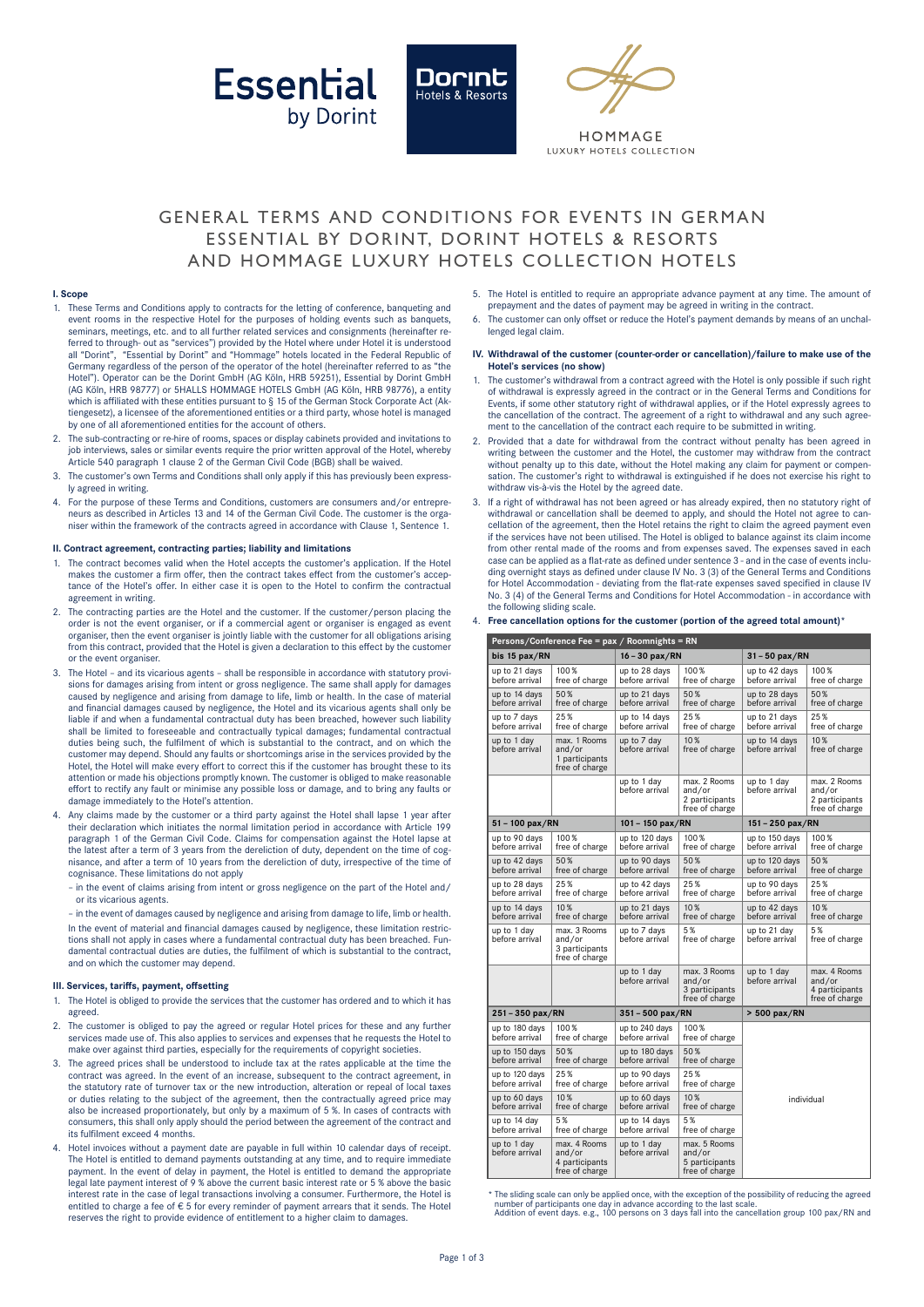





HOMMAGE **ILIXURY HOTELS COLLECTION** 

# GENERAL TERMS AND CONDITIONS FOR EVENTS IN GERMAN ESSENTIAL BY DORINT, DORINT HOTELS & RESORTS AND HOMMAGE LUXURY HOTELS COLLECTION HOTELS

### **I. Scope**

- 1. These Terms and Conditions apply to contracts for the letting of conference, banqueting and event rooms in the respective Hotel for the purposes of holding events such as banquets, seminars, meetings, etc. and to all further related services and consignments (hereinafter referred to through- out as "services") provided by the Hotel where under Hotel it is understood all "Dorint", "Essential by Dorint" and "Hommage" hotels located in the Federal Republic of Germany regardless of the person of the operator of the hotel (hereinafter referred to as "the Hotel"). Operator can be the Dorint GmbH (AG Köln, HRB 59251), Essential by Dorint GmbH (AG Köln, HRB 98777) or 5HALLS HOMMAGE HOTELS GmbH (AG Köln, HRB 98776), a entity which is affiliated with these entities pursuant to § 15 of the German Stock Corporate Act (Aktiengesetz), a licensee of the aforementioned entities or a third party, whose hotel is managed by one of all aforementioned entities for the account of others.
- 2. The sub-contracting or re-hire of rooms, spaces or display cabinets provided and invitations to job interviews, sales or similar events require the prior written approval of the Hotel, whereby Article 540 paragraph 1 clause 2 of the German Civil Code (BGB) shall be waived.
- 3. The customer's own Terms and Conditions shall only apply if this has previously been expressly agreed in writing.
- 4. For the purpose of these Terms and Conditions, customers are consumers and/or entrepreneurs as described in Articles 13 and 14 of the German Civil Code. The customer is the organiser within the framework of the contracts agreed in accordance with Clause 1, Sentence 1.

### **II. Contract agreement, contracting parties; liability and limitations**

- 1. The contract becomes valid when the Hotel accepts the customer's application. If the Hotel makes the customer a firm offer, then the contract takes effect from the customer's acceptance of the Hotel's offer. In either case it is open to the Hotel to confirm the contractual agreement in writing.
- 2. The contracting parties are the Hotel and the customer. If the customer/person placing the order is not the event organiser, or if a commercial agent or organiser is engaged as event organiser, then the event organiser is jointly liable with the customer for all obligations arising from this contract, provided that the Hotel is given a declaration to this effect by the customer or the event organiser.
- 3. The Hotel and its vicarious agents shall be responsible in accordance with statutory provisions for damages arising from intent or gross negligence. The same shall apply for damages caused by negligence and arising from damage to life, limb or health. In the case of material and financial damages caused by negligence, the Hotel and its vicarious agents shall only be liable if and when a fundamental contractual duty has been breached, however such liability shall be limited to foreseeable and contractually typical damages; fundamental contractual duties being such, the fulfilment of which is substantial to the contract, and on which the customer may depend. Should any faults or shortcomings arise in the services provided by the Hotel, the Hotel will make every effort to correct this if the customer has brought these to its attention or made his objections promptly known. The customer is obliged to make reasonable effort to rectify any fault or minimise any possible loss or damage, and to bring any faults or damage immediately to the Hotel's attention.
- 4. Any claims made by the customer or a third party against the Hotel shall lapse 1 year after their declaration which initiates the normal limitation period in accordance with Article 199 paragraph 1 of the German Civil Code. Claims for compensation against the Hotel lapse at the latest after a term of 3 years from the dereliction of duty, dependent on the time of cognisance, and after a term of 10 years from the dereliction of duty, irrespective of the time of cognisance. These limitations do not apply
	- in the event of claims arising from intent or gross negligence on the part of the Hotel and/ or its vicarious agents.
	- in the event of damages caused by negligence and arising from damage to life, limb or health. In the event of material and financial damages caused by negligence, these limitation restrictions shall not apply in cases where a fundamental contractual duty has been breached. Fundamental contractual duties are duties, the fulfilment of which is substantial to the contract, and on which the customer may depend.

#### **III. Services, tariffs, payment, offsetting**

- The Hotel is obliged to provide the services that the customer has ordered and to which it has agreed.
- 2. The customer is obliged to pay the agreed or regular Hotel prices for these and any further services made use of. This also applies to services and expenses that he requests the Hotel to make over against third parties, especially for the requirements of copyright societies.
- 3. The agreed prices shall be understood to include tax at the rates applicable at the time the contract was agreed. In the event of an increase, subsequent to the contract agreement, in the statutory rate of turnover tax or the new introduction, alteration or repeal of local taxes or duties relating to the subject of the agreement, then the contractually agreed price may also be increased proportionately, but only by a maximum of 5 %. In cases of contracts with consumers, this shall only apply should the period between the agreement of the contract and its fulfilment exceed 4 months.
- 4. Hotel invoices without a payment date are payable in full within 10 calendar days of receipt. The Hotel is entitled to demand payments outstanding at any time, and to require immediate payment. In the event of delay in payment, the Hotel is entitled to demand the appropriate legal late payment interest of 9 % above the current basic interest rate or 5 % above the basic interest rate in the case of legal transactions involving a consumer. Furthermore, the Hotel is entitled to charge a fee of  $\epsilon$  5 for every reminder of payment arrears that it sends. The Hotel reserves the right to provide evidence of entitlement to a higher claim to damages.
- 5. The Hotel is entitled to require an appropriate advance payment at any time. The amount of prepayment and the dates of payment may be agreed in writing in the contract.
- 6. The customer can only offset or reduce the Hotel's payment demands by means of an unchallenged legal claim.

### **IV. Withdrawal of the customer (counter-order or cancellation)/failure to make use of the Hotel's services (no show)**

- The customer's withdrawal from a contract agreed with the Hotel is only possible if such right of withdrawal is expressly agreed in the contract or in the General Terms and Conditions for Events, if some other statutory right of withdrawal applies, or if the Hotel expressly agrees to the cancellation of the contract. The agreement of a right to withdrawal and any such agreement to the cancellation of the contract each require to be submitted in writing.
- 2. Provided that a date for withdrawal from the contract without penalty has been agreed in writing between the customer and the Hotel, the customer may withdraw from the contract without penalty up to this date, without the Hotel making any claim for payment or compen-sation. The customer's right to withdrawal is extinguished if he does not exercise his right to withdraw vis-à-vis the Hotel by the agreed date.
- 3. If a right of withdrawal has not been agreed or has already expired, then no statutory right of withdrawal or cancellation shall be deemed to apply, and should the Hotel not agree to cancellation of the agreement, then the Hotel retains the right to claim the agreed payment even if the services have not been utilised. The Hotel is obliged to balance against its claim income from other rental made of the rooms and from expenses saved. The expenses saved in each case can be applied as a flat-rate as defined under sentence 3 - and in the case of events inclu-ding overnight stays as defined under clause IV No. 3 (3) of the General Terms and Conditions for Hotel Accommodation - deviating from the flat-rate expenses saved specified in clause IV No. 3 (4) of the General Terms and Conditions for Hotel Accommodation - in accordance with the following sliding scale.

| bis 15 pax/RN                    |                                                            | $16 - 30$ pax/RN                 |                                                            | 31-50 pax/RN                     |                                                            |  |
|----------------------------------|------------------------------------------------------------|----------------------------------|------------------------------------------------------------|----------------------------------|------------------------------------------------------------|--|
| up to 21 days<br>before arrival  | 100%<br>free of charge                                     | up to 28 days<br>before arrival  | 100%<br>free of charge                                     | up to 42 days<br>before arrival  | 100%<br>free of charge                                     |  |
| up to 14 days<br>before arrival  | 50%<br>free of charge                                      | up to 21 days<br>before arrival  | 50%<br>free of charge                                      | up to 28 days<br>before arrival  | 50%<br>free of charge                                      |  |
| up to 7 days<br>before arrival   | 25%<br>free of charge                                      | up to 14 days<br>before arrival  | 25%<br>free of charge                                      | up to 21 days<br>before arrival  | 25%<br>free of charge                                      |  |
| up to 1 day<br>before arrival    | max. 1 Rooms<br>and/or<br>1 participants<br>free of charge | up to 7 day<br>before arrival    | 10%<br>free of charge                                      | up to 14 davs<br>before arrival  | 10%<br>free of charge                                      |  |
|                                  |                                                            | up to 1 day<br>before arrival    | max. 2 Rooms<br>and/or<br>2 participants<br>free of charge | up to 1 day<br>before arrival    | max. 2 Rooms<br>and/or<br>2 participants<br>free of charge |  |
| 51 - 100 pax/RN                  |                                                            | 101 - 150 pax/RN                 |                                                            | 151 - 250 pax/RN                 |                                                            |  |
| up to 90 days<br>before arrival  | 100%<br>free of charge                                     | up to 120 days<br>before arrival | 100%<br>free of charge                                     | up to 150 days<br>before arrival | 100%<br>free of charge                                     |  |
| up to 42 days<br>before arrival  | 50%<br>free of charge                                      | up to 90 days<br>before arrival  | 50%<br>free of charge                                      | up to 120 days<br>before arrival | 50%<br>free of charge                                      |  |
| up to 28 days<br>before arrival  | 25%<br>free of charge                                      | up to 42 days<br>before arrival  | 25%<br>free of charge                                      | up to 90 days<br>before arrival  | 25%<br>free of charge                                      |  |
| up to 14 days<br>before arrival  | 10%<br>free of charge                                      | up to 21 days<br>before arrival  | 10%<br>free of charge                                      | up to 42 days<br>before arrival  | 10%<br>free of charge                                      |  |
| up to 1 day<br>before arrival    | max. 3 Rooms<br>and/or<br>3 participants<br>free of charge | up to 7 days<br>before arrival   | 5%<br>free of charge                                       | up to 21 day<br>before arrival   | 5%<br>free of charge                                       |  |
|                                  |                                                            | up to 1 day<br>before arrival    | max. 3 Rooms<br>and/or<br>3 participants<br>free of charge | up to 1 day<br>before arrival    | max. 4 Rooms<br>and/or<br>4 participants<br>free of charge |  |
| 251 - 350 pax/RN                 |                                                            | 351 - 500 pax/RN                 |                                                            | > 500 pax/RN                     |                                                            |  |
| up to 180 days<br>before arrival | 100%<br>free of charge                                     | up to 240 days<br>before arrival | 100%<br>free of charge                                     |                                  |                                                            |  |
| up to 150 days<br>before arrival | 50%<br>free of charge                                      | up to 180 days<br>before arrival | 50%<br>free of charge                                      |                                  |                                                            |  |
| up to 120 days<br>before arrival | 25%<br>free of charge                                      | up to 90 days<br>before arrival  | 25%<br>free of charge                                      | individual                       |                                                            |  |
| up to 60 days<br>before arrival  | 10%<br>free of charge                                      | up to 60 days<br>before arrival  | 10%<br>free of charge                                      |                                  |                                                            |  |
| up to 14 day<br>before arrival   | 5%<br>free of charge                                       | up to 14 days<br>before arrival  | 5%<br>free of charge                                       |                                  |                                                            |  |
| up to 1 day<br>before arrival    | max. 4 Rooms<br>and/or<br>4 participants<br>free of charge | up to 1 day<br>before arrival    | max. 5 Rooms<br>and/or<br>5 participants<br>free of charge |                                  |                                                            |  |

4. **Free cancellation options for the customer (portion of the agreed total amount)\***

**Persons/Conference Fee = pax / Roomnights = RN**

The sliding scale can only be applied once, with the exception of the possibility of reducing the agreed number of participants one day in advance according to the last scale. Addition of event days. e.g., 100 persons on 3 days fall into the cancellation group 100 pax/RN and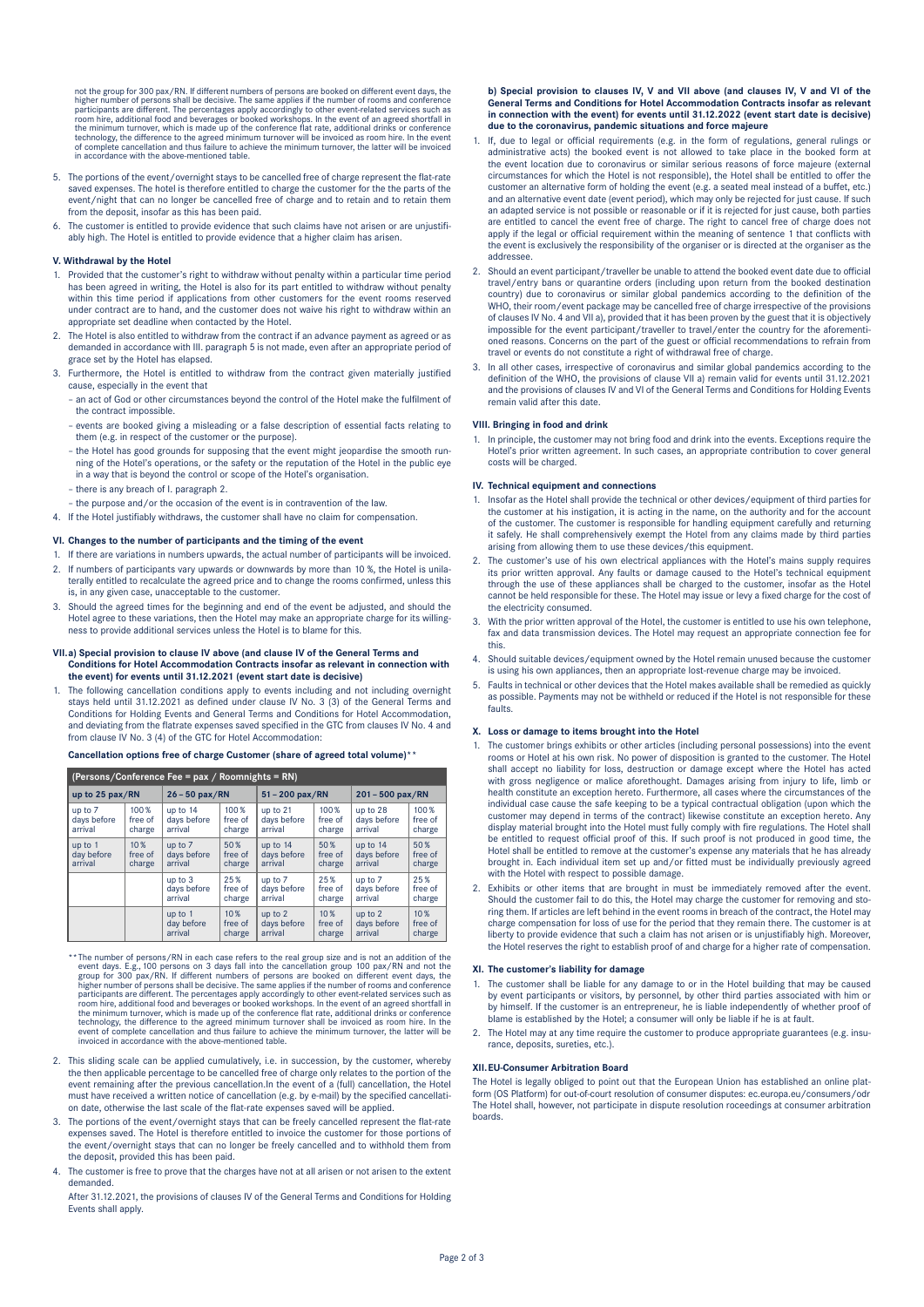not the group for 300 pax/RN. If different numbers of persons are booked on different event days, the higher number of persons shall be decisive. The same applies if the number of roms and conference participants are diffe

- 5. The portions of the event/overnight stays to be cancelled free of charge represent the flat-rate saved expenses. The hotel is therefore entitled to charge the customer for the the parts of the event/night that can no longer be cancelled free of charge and to retain and to retain them from the deposit, insofar as this has been paid.
- The customer is entitled to provide evidence that such claims have not arisen or are unjustifiably high. The Hotel is entitled to provide evidence that a higher claim has arisen.

### **V. Withdrawal by the Hotel**

- 1. Provided that the customer's right to withdraw without penalty within a particular time period has been agreed in writing, the Hotel is also for its part entitled to withdraw without penalty within this time period if applications from other customers for the event rooms reserved under contract are to hand, and the customer does not waive his right to withdraw within an appropriate set deadline when contacted by the Hotel.
- 2. The Hotel is also entitled to withdraw from the contract if an advance payment as agreed or as demanded in accordance with III. paragraph 5 is not made, even after an appropriate period of grace set by the Hotel has elapsed.
- 3. Furthermore, the Hotel is entitled to withdraw from the contract given materially justified cause, especially in the event that
	- an act of God or other circumstances beyond the control of the Hotel make the fulfilment of the contract impossible.
	- events are booked giving a misleading or a false description of essential facts relating to them (e.g. in respect of the customer or the purpose).
	- the Hotel has good grounds for supposing that the event might jeopardise the smooth running of the Hotel's operations, or the safety or the reputation of the Hotel in the public eye in a way that is beyond the control or scope of the Hotel's organisation.
	- there is any breach of I. paragraph 2.
	- the purpose and/or the occasion of the event is in contravention of the law.
- 4. If the Hotel justifiably withdraws, the customer shall have no claim for compensation.

### **VI. Changes to the number of participants and the timing of the event**

- 1. If there are variations in numbers upwards, the actual number of participants will be invoiced. 2. If numbers of participants vary upwards or downwards by more than 10 %, the Hotel is unilaterally entitled to recalculate the agreed price and to change the rooms confirmed, unless this is, in any given case, unacceptable to the customer.
- 3. Should the agreed times for the beginning and end of the event be adjusted, and should the Hotel agree to these variations, then the Hotel may make an appropriate charge for its willingness to provide additional services unless the Hotel is to blame for this.

#### **VII. a) Special provision to clause IV above (and clause IV of the General Terms and Conditions for Hotel Accommodation Contracts insofar as relevant in connection with the event) for events until 31.12.2021 (event start date is decisive)**

1. The following cancellation conditions apply to events including and not including overnight stays held until 31.12.2021 as defined under clause IV No. 3 (3) of the General Terms and Conditions for Holding Events and General Terms and Conditions for Hotel Accommodation, and deviating from the flatrate expenses saved specified in the GTC from clauses IV No. 4 and from clause IV No. 3 (4) of the GTC for Hotel Accommodation:

### **Cancellation options free of charge Customer (share of agreed total volume)\*\***

| (Persons/Conference Fee = $\text{pax}$ / Roomnights = RN) |                                      |                                    |                              |                                    |                              |                                    |                                      |  |  |  |  |
|-----------------------------------------------------------|--------------------------------------|------------------------------------|------------------------------|------------------------------------|------------------------------|------------------------------------|--------------------------------------|--|--|--|--|
| up to 25 $\text{pax}/\text{RN}$                           |                                      | $26 - 50$ pax/RN                   |                              | $51 - 200$ pax/RN                  |                              | 201-500 pax/RN                     |                                      |  |  |  |  |
| up to 7<br>days before<br>arrival                         | 100 %<br>free of<br>charge           | up to 14<br>days before<br>arrival | $100\%$<br>free of<br>charge | up to 21<br>days before<br>arrival | $100\%$<br>free of<br>charge | up to 28<br>days before<br>arrival | $100\%$<br>free of<br>charge         |  |  |  |  |
| up to 1<br>day before<br>arrival                          | 10 <sup>%</sup><br>free of<br>charge | up to 7<br>days before<br>arrival  | 50%<br>free of<br>charge     | up to 14<br>days before<br>arrival | 50%<br>free of<br>charge     | up to 14<br>days before<br>arrival | 50%<br>free of<br>charge             |  |  |  |  |
|                                                           |                                      | up to 3<br>days before<br>arrival  | 25%<br>free of<br>charge     | up to 7<br>days before<br>arrival  | 25%<br>free of<br>charge     | up to 7<br>days before<br>arrival  | 25%<br>free of<br>charge             |  |  |  |  |
|                                                           |                                      | up to 1<br>day before<br>arrival   | 10%<br>free of<br>charge     | up to 2<br>days before<br>arrival  | 10%<br>free of<br>charge     | up to 2<br>days before<br>arrival  | 10 <sub>%</sub><br>free of<br>charge |  |  |  |  |

- \*\* The number of persons/RN in each case refers to the real group size and is not an addition of the<br>group size and is not an experiment days. Egy, 100 persons on 3 days fall into the cancellation group 100 pax/RN and not
- 2. This sliding scale can be applied cumulatively, i.e. in succession, by the customer, whereby the then applicable percentage to be cancelled free of charge only relates to the portion of the event remaining after the previous cancellation.In the event of a (full) cancellation, the Hotel must have received a written notice of cancellation (e.g. by e-mail) by the specified cancellation date, otherwise the last scale of the flat-rate expenses saved will be applied.
- 3. The portions of the event/overnight stays that can be freely cancelled represent the flat-rate expenses saved. The Hotel is therefore entitled to invoice the customer for those portions of the event/overnight stays that can no longer be freely cancelled and to withhold them from the deposit, provided this has been paid.
- 4. The customer is free to prove that the charges have not at all arisen or not arisen to the extent demanded.

After 31.12.2021, the provisions of clauses IV of the General Terms and Conditions for Holding Fyents shall apply.

 **b) Special provision to clauses IV, V and VII above (and clauses IV, V and VI of the General Terms and Conditions for Hotel Accommodation Contracts insofar as relevant in connection with the event) for events until 31.12.2022 (event start date is decisive) due to the coronavirus, pandemic situations and force majeure**

- 1. If, due to legal or official requirements (e.g. in the form of regulations, general rulings or administrative acts) the booked event is not allowed to take place in the booked form at the event location due to coronavirus or similar serious reasons of force majeure (external circumstances for which the Hotel is not responsible), the Hotel shall be entitled to offer the customer an alternative form of holding the event (e.g. a seated meal instead of a buffet, etc.) and an alternative event date (event period), which may only be rejected for just cause. If such an adapted service is not possible or reasonable or if it is rejected for just cause, both parties are entitled to cancel the event free of charge. The right to cancel free of charge does not apply if the legal or official requirement within the meaning of sentence 1 that conflicts with the event is exclusively the responsibility of the organiser or is directed at the organiser as the addressee.
- 2. Should an event participant/traveller be unable to attend the booked event date due to official travel/entry bans or quarantine orders (including upon return from the booked destination country) due to coronavirus or similar global pandemics according to the definition of the WHO, their room/event package may be cancelled free of charge irrespective of the provisions of clauses IV No. 4 and VII a), provided that it has been proven by the guest that it is objectively impossible for the event participant/traveller to travel/enter the country for the aforementioned reasons. Concerns on the part of the guest or official recommendations to refrain from travel or events do not constitute a right of withdrawal free of charge.
- 3. In all other cases, irrespective of coronavirus and similar global pandemics according to the definition of the WHO, the provisions of clause VII a) remain valid for events until 31.12.2021 and the provisions of clauses IV and VI of the General Terms and Conditions for Holding Events remain valid after this date.

#### **VIII. Bringing in food and drink**

1. In principle, the customer may not bring food and drink into the events. Exceptions require the Hotel's prior written agreement. In such cases, an appropriate contribution to cover general costs will be charged.

#### **IV. Technical equipment and connections**

- 1. Insofar as the Hotel shall provide the technical or other devices/equipment of third parties for the customer at his instigation, it is acting in the name, on the authority and for the account of the customer. The customer is responsible for handling equipment carefully and returning it safely. He shall comprehensively exempt the Hotel from any claims made by third parties arising from allowing them to use these devices/this equipment.
- The customer's use of his own electrical appliances with the Hotel's mains supply requires its prior written approval. Any faults or damage caused to the Hotel's technical equipment through the use of these appliances shall be charged to the customer, insofar as the Hotel cannot be held responsible for these. The Hotel may issue or levy a fixed charge for the cost of the electricity consumed.
- 3. With the prior written approval of the Hotel, the customer is entitled to use his own telephone, fax and data transmission devices. The Hotel may request an appropriate connection fee for this.
- 4. Should suitable devices/equipment owned by the Hotel remain unused because the customer is using his own appliances, then an appropriate lost-revenue charge may be invoiced.
- 5. Faults in technical or other devices that the Hotel makes available shall be remedied as quickly as possible. Payments may not be withheld or reduced if the Hotel is not responsible for these faults.

### **X. Loss or damage to items brought into the Hotel**

- 1. The customer brings exhibits or other articles (including personal possessions) into the event rooms or Hotel at his own risk. No power of disposition is granted to the customer. The Hotel shall accept no liability for loss, destruction or damage except where the Hotel has acted with gross negligence or malice aforethought. Damages arising from injury to life, limb or health constitute an exception hereto. Furthermore, all cases where the circumstances of the individual case cause the safe keeping to be a typical contractual obligation (upon which the customer may depend in terms of the contract) likewise constitute an exception hereto. Any display material brought into the Hotel must fully comply with fire regulations. The Hotel shall be entitled to request official proof of this. If such proof is not produced in good time, the Hotel shall be entitled to remove at the customer's expense any materials that he has already brought in. Each individual item set up and/or fitted must be individually previously agreed with the Hotel with respect to possible damage.
- 2. Exhibits or other items that are brought in must be immediately removed after the event. Should the customer fail to do this, the Hotel may charge the customer for removing and sto-ring them. If articles are left behind in the event rooms in breach of the contract, the Hotel may charge compensation for loss of use for the period that they remain there. The customer is at liberty to provide evidence that such a claim has not arisen or is unjustifiably high. Moreover, the Hotel reserves the right to establish proof of and charge for a higher rate of compensation.

# **XI. The customer's liability for damage**

- 1. The customer shall be liable for any damage to or in the Hotel building that may be caused by event participants or visitors, by personnel, by other third parties associated with him or by himself. If the customer is an entrepreneur, he is liable independently of whether proof of blame is established by the Hotel; a consumer will only be liable if he is at fault.
- 2. The Hotel may at any time require the customer to produce appropriate guarantees (e.g. insurance, deposits, sureties, etc.)

### **XII.EU-Consumer Arbitration Board**

The Hotel is legally obliged to point out that the European Union has established an online platform (OS Platform) for out-of-court resolution of consumer disputes: [ec.europa.eu/consumers/odr](http://ec.europa.eu/consumers/odr) The Hotel shall, however, not participate in dispute resolution roceedings at consumer arbitration boards.